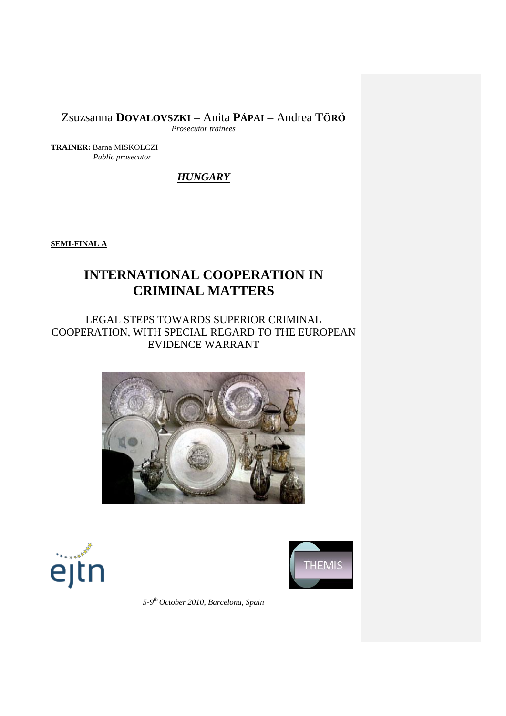Zsuzsanna **DOVALOVSZKI –** Anita **PÁPAI –** Andrea **TÖRŐ**

*Prosecutor trainees*

**TRAINER:** Barna MISKOLCZI *Public prosecutor*

*HUNGARY*

**SEMI-FINAL A**

# **INTERNATIONAL COOPERATION IN CRIMINAL MATTERS**

# LEGAL STEPS TOWARDS SUPERIOR CRIMINAL COOPERATION, WITH SPECIAL REGARD TO THE EUROPEAN EVIDENCE WARRANT







*5-9 th October 2010, Barcelona, Spain*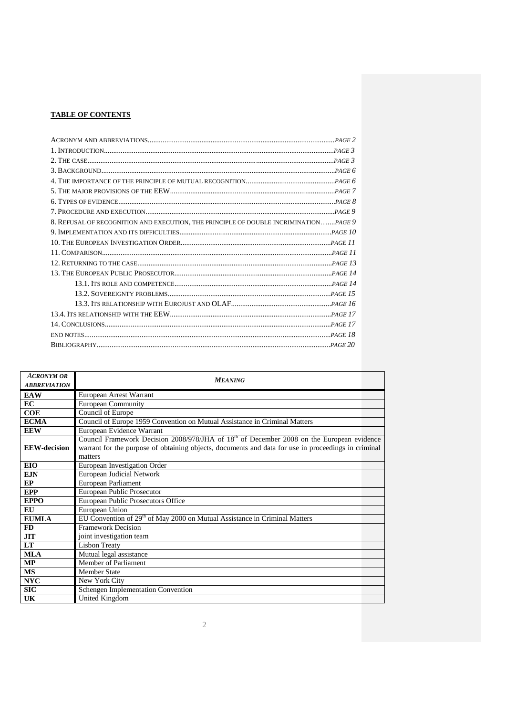## **TABLE OF CONTENTS**

| 8. REFUSAL OF RECOGNITION AND EXECUTION, THE PRINCIPLE OF DOUBLE INCRIMINATIONPAGE 9 |  |
|--------------------------------------------------------------------------------------|--|
|                                                                                      |  |
|                                                                                      |  |
|                                                                                      |  |
|                                                                                      |  |
|                                                                                      |  |
|                                                                                      |  |
|                                                                                      |  |
|                                                                                      |  |
|                                                                                      |  |
|                                                                                      |  |
|                                                                                      |  |
|                                                                                      |  |
|                                                                                      |  |

| <b>ACRONYM OR</b>   | <b>MEANING</b>                                                                                                                                                                                                |  |  |  |  |
|---------------------|---------------------------------------------------------------------------------------------------------------------------------------------------------------------------------------------------------------|--|--|--|--|
| <b>ABBREVIATION</b> |                                                                                                                                                                                                               |  |  |  |  |
| <b>EAW</b>          | European Arrest Warrant                                                                                                                                                                                       |  |  |  |  |
| <b>EC</b>           | <b>European Community</b>                                                                                                                                                                                     |  |  |  |  |
| COE                 | Council of Europe                                                                                                                                                                                             |  |  |  |  |
| <b>ECMA</b>         | Council of Europe 1959 Convention on Mutual Assistance in Criminal Matters                                                                                                                                    |  |  |  |  |
| <b>EEW</b>          | European Evidence Warrant                                                                                                                                                                                     |  |  |  |  |
| <b>EEW-decision</b> | Council Framework Decision 2008/978/JHA of $18th$ of December 2008 on the European evidence<br>warrant for the purpose of obtaining objects, documents and data for use in proceedings in criminal<br>matters |  |  |  |  |
| EIO                 | European Investigation Order                                                                                                                                                                                  |  |  |  |  |
| <b>EJN</b>          | <b>European Judicial Network</b>                                                                                                                                                                              |  |  |  |  |
| EP                  | European Parliament                                                                                                                                                                                           |  |  |  |  |
| <b>EPP</b>          | European Public Prosecutor                                                                                                                                                                                    |  |  |  |  |
| <b>EPPO</b>         | European Public Prosecutors Office                                                                                                                                                                            |  |  |  |  |
| EU                  | European Union                                                                                                                                                                                                |  |  |  |  |
| <b>EUMLA</b>        | EU Convention of 29 <sup>th</sup> of May 2000 on Mutual Assistance in Criminal Matters                                                                                                                        |  |  |  |  |
| FD                  | <b>Framework Decision</b>                                                                                                                                                                                     |  |  |  |  |
| <b>JIT</b>          | joint investigation team                                                                                                                                                                                      |  |  |  |  |
| <b>LT</b>           | <b>Lisbon Treaty</b>                                                                                                                                                                                          |  |  |  |  |
| <b>MLA</b>          | Mutual legal assistance                                                                                                                                                                                       |  |  |  |  |
| <b>MP</b>           | Member of Parliament                                                                                                                                                                                          |  |  |  |  |
| <b>MS</b>           | <b>Member State</b>                                                                                                                                                                                           |  |  |  |  |
| <b>NYC</b>          | New York City                                                                                                                                                                                                 |  |  |  |  |
| SIC                 | <b>Schengen Implementation Convention</b>                                                                                                                                                                     |  |  |  |  |
| UK                  | United Kingdom                                                                                                                                                                                                |  |  |  |  |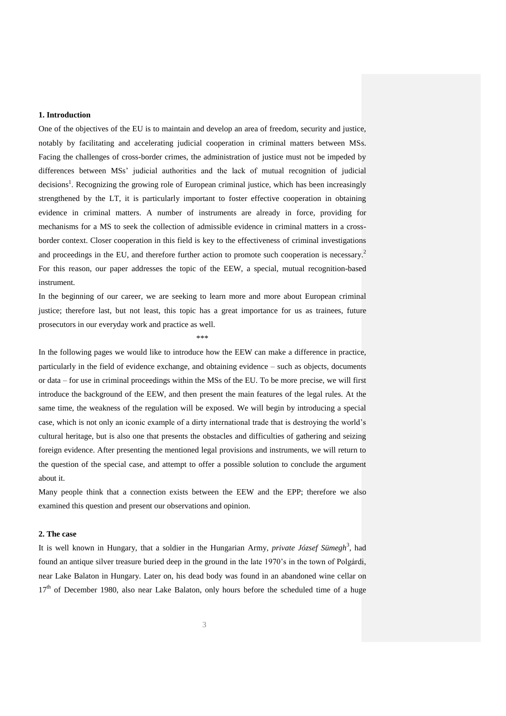#### **1. Introduction**

One of the objectives of the EU is to maintain and develop an area of freedom, security and justice, notably by facilitating and accelerating judicial cooperation in criminal matters between MSs. Facing the challenges of cross-border crimes, the administration of justice must not be impeded by differences between MSs" judicial authorities and the lack of mutual recognition of judicial decisions<sup>1</sup>. Recognizing the growing role of European criminal justice, which has been increasingly strengthened by the LT, it is particularly important to foster effective cooperation in obtaining evidence in criminal matters. A number of instruments are already in force, providing for mechanisms for a MS to seek the collection of admissible evidence in criminal matters in a crossborder context. Closer cooperation in this field is key to the effectiveness of criminal investigations and proceedings in the EU, and therefore further action to promote such cooperation is necessary.<sup>2</sup> For this reason, our paper addresses the topic of the EEW, a special, mutual recognition-based instrument.

In the beginning of our career, we are seeking to learn more and more about European criminal justice; therefore last, but not least, this topic has a great importance for us as trainees, future prosecutors in our everyday work and practice as well.

\*\*\*

In the following pages we would like to introduce how the EEW can make a difference in practice, particularly in the field of evidence exchange, and obtaining evidence – such as objects, documents or data – for use in criminal proceedings within the MSs of the EU. To be more precise, we will first introduce the background of the EEW, and then present the main features of the legal rules. At the same time, the weakness of the regulation will be exposed. We will begin by introducing a special case, which is not only an iconic example of a dirty international trade that is destroying the world"s cultural heritage, but is also one that presents the obstacles and difficulties of gathering and seizing foreign evidence. After presenting the mentioned legal provisions and instruments, we will return to the question of the special case, and attempt to offer a possible solution to conclude the argument about it.

Many people think that a connection exists between the EEW and the EPP; therefore we also examined this question and present our observations and opinion.

#### **2. The case**

It is well known in Hungary, that a soldier in the Hungarian Army, *private József Sümegh*<sup>3</sup> , had found an antique silver treasure buried deep in the ground in the late 1970"s in the town of Polgárdi, near Lake Balaton in Hungary. Later on, his dead body was found in an abandoned wine cellar on 17<sup>th</sup> of December 1980, also near Lake Balaton, only hours before the scheduled time of a huge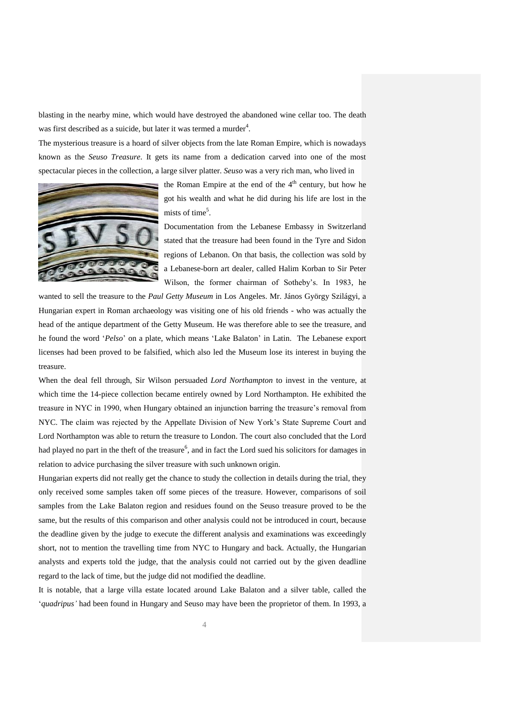blasting in the nearby mine, which would have destroyed the abandoned wine cellar too. The death was first described as a suicide, but later it was termed a murder<sup>4</sup>.

The mysterious treasure is a hoard of silver objects from the late Roman Empire, which is nowadays known as the *Seuso Treasure*. It gets its name from a dedication carved into one of the most spectacular pieces in the collection, a large silver platter. *Seuso* was a very rich man, who lived in



the Roman Empire at the end of the  $4<sup>th</sup>$  century, but how he got his wealth and what he did during his life are lost in the mists of time<sup>5</sup>.

Documentation from the Lebanese Embassy in Switzerland stated that the treasure had been found in the Tyre and Sidon regions of Lebanon. On that basis, the collection was sold by a Lebanese-born art dealer, called Halim Korban to Sir Peter Wilson, the former chairman of Sotheby"s. In 1983, he

wanted to sell the treasure to the *Paul Getty Museum* in Los Angeles. Mr. János György Szilágyi, a Hungarian expert in Roman archaeology was visiting one of his old friends - who was actually the head of the antique department of the Getty Museum. He was therefore able to see the treasure, and he found the word "*Pelso*" on a plate, which means "Lake Balaton" in Latin. The Lebanese export licenses had been proved to be falsified, which also led the Museum lose its interest in buying the treasure.

When the deal fell through, Sir Wilson persuaded *Lord Northampton* to invest in the venture, at which time the 14-piece collection became entirely owned by Lord Northampton. He exhibited the treasure in NYC in 1990, when Hungary obtained an injunction barring the treasure"s removal from NYC. The claim was rejected by the Appellate Division of New York"s State Supreme Court and Lord Northampton was able to return the treasure to London. The court also concluded that the Lord had played no part in the theft of the treasure<sup>6</sup>, and in fact the Lord sued his solicitors for damages in relation to advice purchasing the silver treasure with such unknown origin.

Hungarian experts did not really get the chance to study the collection in details during the trial, they only received some samples taken off some pieces of the treasure. However, comparisons of soil samples from the Lake Balaton region and residues found on the Seuso treasure proved to be the same, but the results of this comparison and other analysis could not be introduced in court, because the deadline given by the judge to execute the different analysis and examinations was exceedingly short, not to mention the travelling time from NYC to Hungary and back. Actually, the Hungarian analysts and experts told the judge, that the analysis could not carried out by the given deadline regard to the lack of time, but the judge did not modified the deadline.

It is notable, that a large villa estate located around Lake Balaton and a silver table, called the "*quadripus'* had been found in Hungary and Seuso may have been the proprietor of them. In 1993, a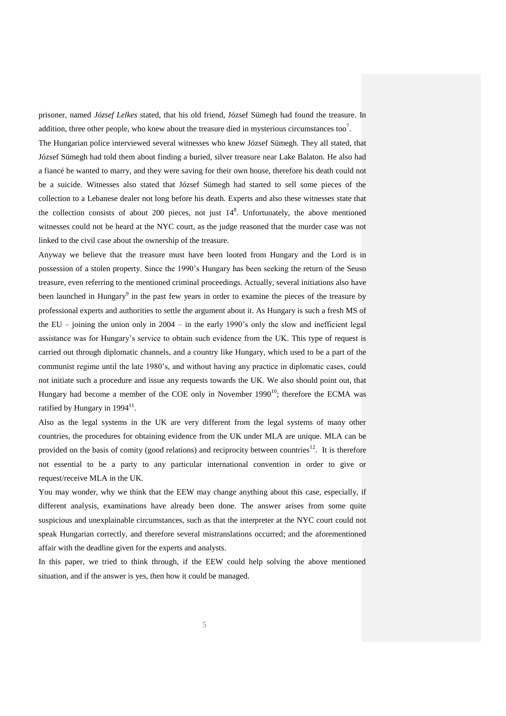prisoner, named *József Lelkes* stated, that his old friend, József Sümegh had found the treasure. In addition, three other people, who knew about the treasure died in mysterious circumstances too<sup>7</sup>.

The Hungarian police interviewed several witnesses who knew József Sümegh. They all stated, that József Sümegh had told them about finding a buried, silver treasure near Lake Balaton. He also had a fiancé he wanted to marry, and they were saving for their own house, therefore his death could not be a suicide. Witnesses also stated that József Sümegh had started to sell some pieces of the collection to a Lebanese dealer not long before his death. Experts and also these witnesses state that the collection consists of about 200 pieces, not just  $14<sup>8</sup>$ . Unfortunately, the above mentioned witnesses could not be heard at the NYC court, as the judge reasoned that the murder case was not linked to the civil case about the ownership of the treasure.

Anyway we believe that the treasure must have been looted from Hungary and the Lord is in possession of a stolen property. Since the 1990"s Hungary has been seeking the return of the Seuso treasure, even referring to the mentioned criminal proceedings. Actually, several initiations also have been launched in Hungary<sup>9</sup> in the past few years in order to examine the pieces of the treasure by professional experts and authorities to settle the argument about it. As Hungary is such a fresh MS of the EU – joining the union only in  $2004 -$  in the early 1990's only the slow and inefficient legal assistance was for Hungary"s service to obtain such evidence from the UK. This type of request is carried out through diplomatic channels, and a country like Hungary, which used to be a part of the communist regime until the late 1980"s, and without having any practice in diplomatic cases, could not initiate such a procedure and issue any requests towards the UK. We also should point out, that Hungary had become a member of the COE only in November  $1990<sup>10</sup>$ ; therefore the ECMA was ratified by Hungary in  $1994<sup>11</sup>$ .

Also as the legal systems in the UK are very different from the legal systems of many other countries, the procedures for obtaining evidence from the UK under MLA are unique. MLA can be provided on the basis of comity (good relations) and reciprocity between countries<sup>12</sup>. It is therefore not essential to be a party to any particular international convention in order to give or request/receive MLA in the UK.

You may wonder, why we think that the EEW may change anything about this case, especially, if different analysis, examinations have already been done. The answer arises from some quite suspicious and unexplainable circumstances, such as that the interpreter at the NYC court could not speak Hungarian correctly, and therefore several mistranslations occurred; and the aforementioned affair with the deadline given for the experts and analysts.

In this paper, we tried to think through, if the EEW could help solving the above mentioned situation, and if the answer is yes, then how it could be managed.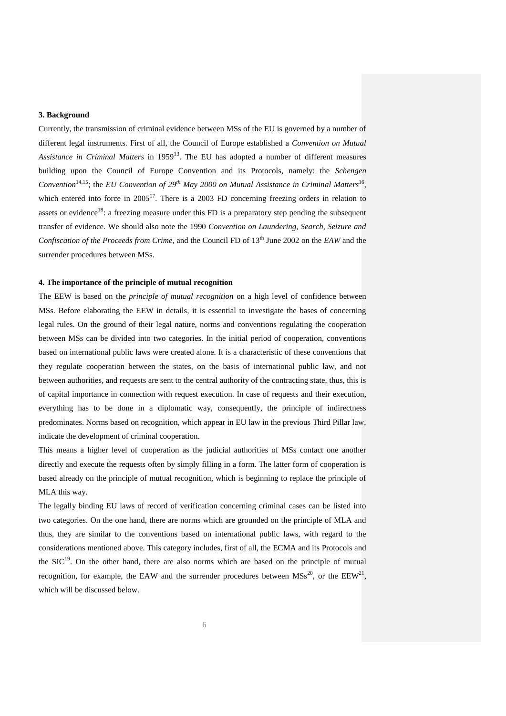#### **3. Background**

Currently, the transmission of criminal evidence between MSs of the EU is governed by a number of different legal instruments. First of all, the Council of Europe established a *Convention on Mutual*  Assistance in Criminal Matters in 1959<sup>13</sup>. The EU has adopted a number of different measures building upon the Council of Europe Convention and its Protocols, namely: the *Schengen*  Convention<sup>14,15</sup>; the *EU Convention of 29<sup>th</sup> May 2000 on Mutual Assistance in Criminal Matters*<sup>16</sup>, which entered into force in  $2005^{17}$ . There is a 2003 FD concerning freezing orders in relation to assets or evidence<sup>18</sup>: a freezing measure under this FD is a preparatory step pending the subsequent transfer of evidence. We should also note the 1990 *Convention on Laundering, Search, Seizure and Confiscation of the Proceeds from Crime*, and the Council FD of 13<sup>th</sup> June 2002 on the *EAW* and the surrender procedures between MSs.

#### **4. The importance of the principle of mutual recognition**

The EEW is based on the *principle of mutual recognition* on a high level of confidence between MSs. Before elaborating the EEW in details, it is essential to investigate the bases of concerning legal rules. On the ground of their legal nature, norms and conventions regulating the cooperation between MSs can be divided into two categories. In the initial period of cooperation, conventions based on international public laws were created alone. It is a characteristic of these conventions that they regulate cooperation between the states, on the basis of international public law, and not between authorities, and requests are sent to the central authority of the contracting state, thus, this is of capital importance in connection with request execution. In case of requests and their execution, everything has to be done in a diplomatic way, consequently, the principle of indirectness predominates. Norms based on recognition, which appear in EU law in the previous Third Pillar law, indicate the development of criminal cooperation.

This means a higher level of cooperation as the judicial authorities of MSs contact one another directly and execute the requests often by simply filling in a form. The latter form of cooperation is based already on the principle of mutual recognition, which is beginning to replace the principle of MLA this way.

The legally binding EU laws of record of verification concerning criminal cases can be listed into two categories. On the one hand, there are norms which are grounded on the principle of MLA and thus, they are similar to the conventions based on international public laws, with regard to the considerations mentioned above. This category includes, first of all, the ECMA and its Protocols and the  $SIC<sup>19</sup>$ . On the other hand, there are also norms which are based on the principle of mutual recognition, for example, the EAW and the surrender procedures between  $MSS^{20}$ , or the EEW<sup>21</sup>, which will be discussed below.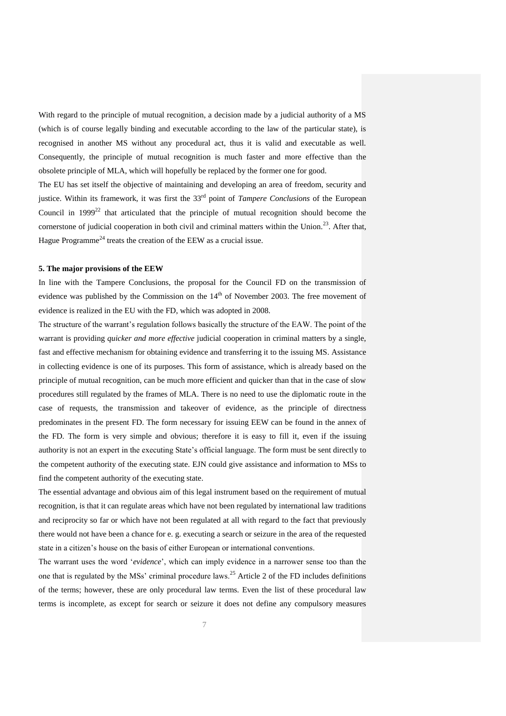With regard to the principle of mutual recognition, a decision made by a judicial authority of a MS (which is of course legally binding and executable according to the law of the particular state), is recognised in another MS without any procedural act, thus it is valid and executable as well. Consequently, the principle of mutual recognition is much faster and more effective than the obsolete principle of MLA, which will hopefully be replaced by the former one for good.

The EU has set itself the objective of maintaining and developing an area of freedom, security and justice. Within its framework, it was first the 33<sup>rd</sup> point of *Tampere Conclusions* of the European Council in  $1999^{22}$  that articulated that the principle of mutual recognition should become the cornerstone of judicial cooperation in both civil and criminal matters within the Union.<sup>23</sup>. After that, Hague Programme<sup>24</sup> treats the creation of the EEW as a crucial issue.

#### **5. The major provisions of the EEW**

In line with the Tampere Conclusions, the proposal for the Council FD on the transmission of evidence was published by the Commission on the  $14<sup>th</sup>$  of November 2003. The free movement of evidence is realized in the EU with the FD, which was adopted in 2008.

The structure of the warrant"s regulation follows basically the structure of the EAW. The point of the warrant is providing *quicker and more effective* judicial cooperation in criminal matters by a single, fast and effective mechanism for obtaining evidence and transferring it to the issuing MS. Assistance in collecting evidence is one of its purposes. This form of assistance, which is already based on the principle of mutual recognition, can be much more efficient and quicker than that in the case of slow procedures still regulated by the frames of MLA. There is no need to use the diplomatic route in the case of requests, the transmission and takeover of evidence, as the principle of directness predominates in the present FD. The form necessary for issuing EEW can be found in the annex of the FD. The form is very simple and obvious; therefore it is easy to fill it, even if the issuing authority is not an expert in the executing State"s official language. The form must be sent directly to the competent authority of the executing state. EJN could give assistance and information to MSs to find the competent authority of the executing state.

The essential advantage and obvious aim of this legal instrument based on the requirement of mutual recognition, is that it can regulate areas which have not been regulated by international law traditions and reciprocity so far or which have not been regulated at all with regard to the fact that previously there would not have been a chance for e. g. executing a search or seizure in the area of the requested state in a citizen"s house on the basis of either European or international conventions.

The warrant uses the word "*evidence*", which can imply evidence in a narrower sense too than the one that is regulated by the MSs' criminal procedure laws.<sup>25</sup> Article 2 of the FD includes definitions of the terms; however, these are only procedural law terms. Even the list of these procedural law terms is incomplete, as except for search or seizure it does not define any compulsory measures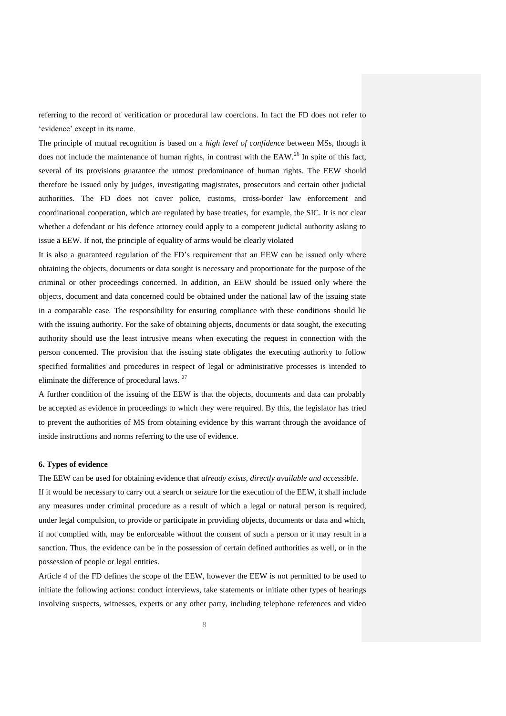referring to the record of verification or procedural law coercions. In fact the FD does not refer to 'evidence' except in its name.

The principle of mutual recognition is based on a *high level of confidence* between MSs, though it does not include the maintenance of human rights, in contrast with the EAW.<sup>26</sup> In spite of this fact, several of its provisions guarantee the utmost predominance of human rights. The EEW should therefore be issued only by judges, investigating magistrates, prosecutors and certain other judicial authorities. The FD does not cover police, customs, cross-border law enforcement and coordinational cooperation, which are regulated by base treaties, for example, the SIC. It is not clear whether a defendant or his defence attorney could apply to a competent judicial authority asking to issue a EEW. If not, the principle of equality of arms would be clearly violated

It is also a guaranteed regulation of the FD"s requirement that an EEW can be issued only where obtaining the objects, documents or data sought is necessary and proportionate for the purpose of the criminal or other proceedings concerned. In addition, an EEW should be issued only where the objects, document and data concerned could be obtained under the national law of the issuing state in a comparable case. The responsibility for ensuring compliance with these conditions should lie with the issuing authority. For the sake of obtaining objects, documents or data sought, the executing authority should use the least intrusive means when executing the request in connection with the person concerned. The provision that the issuing state obligates the executing authority to follow specified formalities and procedures in respect of legal or administrative processes is intended to eliminate the difference of procedural laws. <sup>27</sup>

A further condition of the issuing of the EEW is that the objects, documents and data can probably be accepted as evidence in proceedings to which they were required. By this, the legislator has tried to prevent the authorities of MS from obtaining evidence by this warrant through the avoidance of inside instructions and norms referring to the use of evidence.

#### **6. Types of evidence**

The EEW can be used for obtaining evidence that *already exists, directly available and accessible*. If it would be necessary to carry out a search or seizure for the execution of the EEW, it shall include any measures under criminal procedure as a result of which a legal or natural person is required, under legal compulsion, to provide or participate in providing objects, documents or data and which, if not complied with, may be enforceable without the consent of such a person or it may result in a sanction. Thus, the evidence can be in the possession of certain defined authorities as well, or in the possession of people or legal entities.

Article 4 of the FD defines the scope of the EEW, however the EEW is not permitted to be used to initiate the following actions: conduct interviews, take statements or initiate other types of hearings involving suspects, witnesses, experts or any other party, including telephone references and video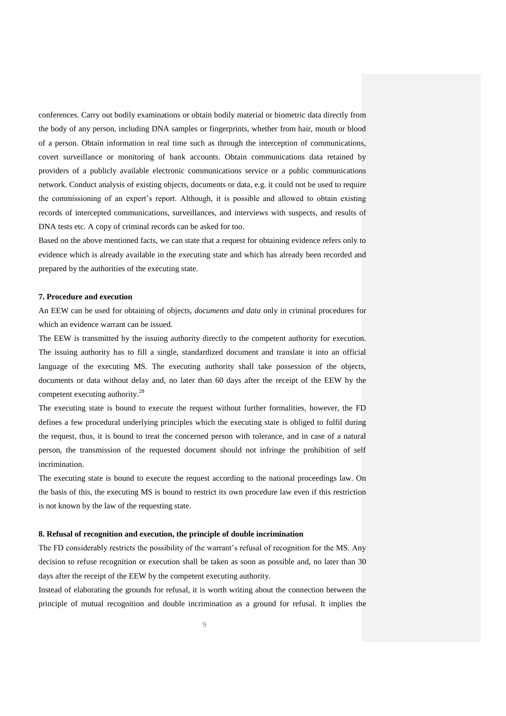conferences. Carry out bodily examinations or obtain bodily material or biometric data directly from the body of any person, including DNA samples or fingerprints, whether from hair, mouth or blood of a person. Obtain information in real time such as through the interception of communications, covert surveillance or monitoring of bank accounts. Obtain communications data retained by providers of a publicly available electronic communications service or a public communications network. Conduct analysis of existing objects, documents or data, e.g. it could not be used to require the commissioning of an expert"s report. Although, it is possible and allowed to obtain existing records of intercepted communications, surveillances, and interviews with suspects, and results of DNA tests etc. A copy of criminal records can be asked for too.

Based on the above mentioned facts, we can state that a request for obtaining evidence refers only to evidence which is already available in the executing state and which has already been recorded and prepared by the authorities of the executing state.

#### **7. Procedure and execution**

An EEW can be used for obtaining of objects, *documents and data* only in criminal procedures for which an evidence warrant can be issued.

The EEW is transmitted by the issuing authority directly to the competent authority for execution. The issuing authority has to fill a single, standardized document and translate it into an official language of the executing MS. The executing authority shall take possession of the objects, documents or data without delay and, no later than 60 days after the receipt of the EEW by the competent executing authority.<sup>28</sup>

The executing state is bound to execute the request without further formalities, however, the FD defines a few procedural underlying principles which the executing state is obliged to fulfil during the request, thus, it is bound to treat the concerned person with tolerance, and in case of a natural person, the transmission of the requested document should not infringe the prohibition of self incrimination.

The executing state is bound to execute the request according to the national proceedings law. On the basis of this, the executing MS is bound to restrict its own procedure law even if this restriction is not known by the law of the requesting state.

#### **8. Refusal of recognition and execution, the principle of double incrimination**

The FD considerably restricts the possibility of the warrant's refusal of recognition for the MS. Any decision to refuse recognition or execution shall be taken as soon as possible and, no later than 30 days after the receipt of the EEW by the competent executing authority.

Instead of elaborating the grounds for refusal, it is worth writing about the connection between the principle of mutual recognition and double incrimination as a ground for refusal. It implies the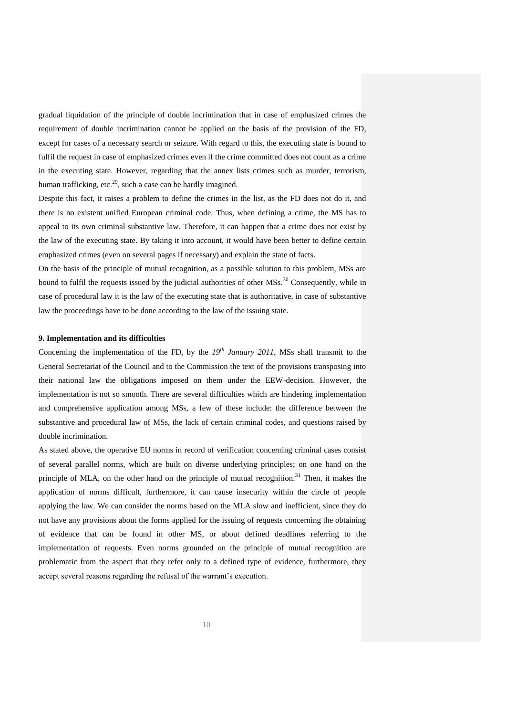gradual liquidation of the principle of double incrimination that in case of emphasized crimes the requirement of double incrimination cannot be applied on the basis of the provision of the FD, except for cases of a necessary search or seizure. With regard to this, the executing state is bound to fulfil the request in case of emphasized crimes even if the crime committed does not count as a crime in the executing state. However, regarding that the annex lists crimes such as murder, terrorism, human trafficking, etc.<sup>29</sup>, such a case can be hardly imagined.

Despite this fact, it raises a problem to define the crimes in the list, as the FD does not do it, and there is no existent unified European criminal code. Thus, when defining a crime, the MS has to appeal to its own criminal substantive law. Therefore, it can happen that a crime does not exist by the law of the executing state. By taking it into account, it would have been better to define certain emphasized crimes (even on several pages if necessary) and explain the state of facts.

On the basis of the principle of mutual recognition, as a possible solution to this problem, MSs are bound to fulfil the requests issued by the judicial authorities of other  $\overline{MSs}$ <sup>30</sup> Consequently, while in case of procedural law it is the law of the executing state that is authoritative, in case of substantive law the proceedings have to be done according to the law of the issuing state.

#### **9. Implementation and its difficulties**

Concerning the implementation of the FD, by the 19<sup>th</sup> January 2011, MSs shall transmit to the General Secretariat of the Council and to the Commission the text of the provisions transposing into their national law the obligations imposed on them under the EEW-decision. However, the implementation is not so smooth. There are several difficulties which are hindering implementation and comprehensive application among MSs, a few of these include: the difference between the substantive and procedural law of MSs, the lack of certain criminal codes, and questions raised by double incrimination.

As stated above, the operative EU norms in record of verification concerning criminal cases consist of several parallel norms, which are built on diverse underlying principles; on one hand on the principle of MLA, on the other hand on the principle of mutual recognition.<sup>31</sup> Then, it makes the application of norms difficult, furthermore, it can cause insecurity within the circle of people applying the law. We can consider the norms based on the MLA slow and inefficient, since they do not have any provisions about the forms applied for the issuing of requests concerning the obtaining of evidence that can be found in other MS, or about defined deadlines referring to the implementation of requests. Even norms grounded on the principle of mutual recognition are problematic from the aspect that they refer only to a defined type of evidence, furthermore, they accept several reasons regarding the refusal of the warrant"s execution.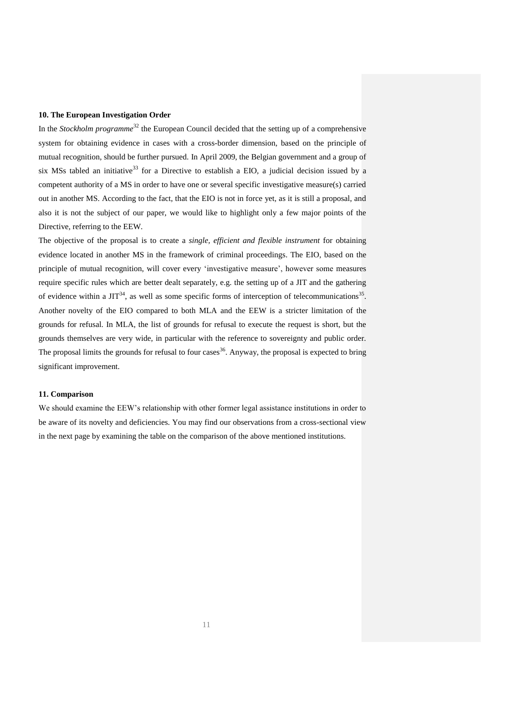#### **10. The European Investigation Order**

In the *Stockholm programme*<sup>32</sup> the European Council decided that the setting up of a comprehensive system for obtaining evidence in cases with a cross-border dimension, based on the principle of mutual recognition, should be further pursued. In April 2009, the Belgian government and a group of six MSs tabled an initiative<sup>33</sup> for a Directive to establish a EIO, a judicial decision issued by a competent authority of a MS in order to have one or several specific investigative measure(s) carried out in another MS. According to the fact, that the EIO is not in force yet, as it is still a proposal, and also it is not the subject of our paper, we would like to highlight only a few major points of the Directive, referring to the EEW.

The objective of the proposal is to create a *single, efficient and flexible instrument* for obtaining evidence located in another MS in the framework of criminal proceedings. The EIO, based on the principle of mutual recognition, will cover every "investigative measure", however some measures require specific rules which are better dealt separately, e.g. the setting up of a JIT and the gathering of evidence within a  $JIT^{34}$ , as well as some specific forms of interception of telecommunications<sup>35</sup>. Another novelty of the EIO compared to both MLA and the EEW is a stricter limitation of the grounds for refusal. In MLA, the list of grounds for refusal to execute the request is short, but the grounds themselves are very wide, in particular with the reference to sovereignty and public order. The proposal limits the grounds for refusal to four cases<sup>36</sup>. Anyway, the proposal is expected to bring significant improvement.

#### **11. Comparison**

We should examine the EEW"s relationship with other former legal assistance institutions in order to be aware of its novelty and deficiencies. You may find our observations from a cross-sectional view in the next page by examining the table on the comparison of the above mentioned institutions.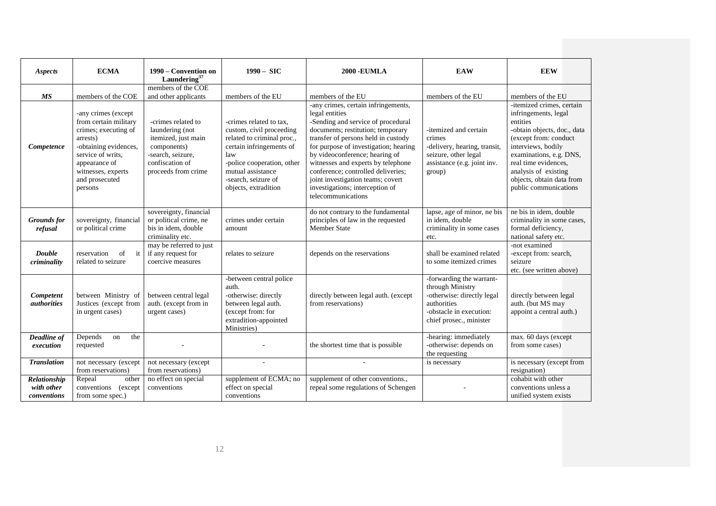| Aspects                                   | <b>ECMA</b>                                                                                                                                                                                                              | 1990 – Convention on<br>Laundering <sup>37</sup>                                                                                                                   | $1990 - SIC$                                                                                                                                                                                                                                | <b>2000 - EUMLA</b>                                                                                                                                                                                                                                                                                                                                                                                                                               | <b>EAW</b>                                                                                                                                            | <b>EEW</b>                                                                                                                                                                                                                                                                                        |
|-------------------------------------------|--------------------------------------------------------------------------------------------------------------------------------------------------------------------------------------------------------------------------|--------------------------------------------------------------------------------------------------------------------------------------------------------------------|---------------------------------------------------------------------------------------------------------------------------------------------------------------------------------------------------------------------------------------------|---------------------------------------------------------------------------------------------------------------------------------------------------------------------------------------------------------------------------------------------------------------------------------------------------------------------------------------------------------------------------------------------------------------------------------------------------|-------------------------------------------------------------------------------------------------------------------------------------------------------|---------------------------------------------------------------------------------------------------------------------------------------------------------------------------------------------------------------------------------------------------------------------------------------------------|
|                                           |                                                                                                                                                                                                                          | members of the COE                                                                                                                                                 |                                                                                                                                                                                                                                             |                                                                                                                                                                                                                                                                                                                                                                                                                                                   |                                                                                                                                                       |                                                                                                                                                                                                                                                                                                   |
| <b>MS</b><br>Competence                   | members of the COE<br>-any crimes (except<br>from certain military<br>crimes; executing of<br>arrests)<br>-obtaining evidences,<br>service of writs.<br>appearance of<br>witnesses, experts<br>and prosecuted<br>persons | and other applicants<br>-crimes related to<br>laundering (not<br>itemized, just main<br>components)<br>-search, seizure,<br>confiscation of<br>proceeds from crime | members of the EU<br>-crimes related to tax,<br>custom, civil proceeding<br>related to criminal proc.,<br>certain infringements of<br>law<br>-police cooperation, other<br>mutual assistance<br>-search, seizure of<br>objects, extradition | members of the EU<br>-any crimes, certain infringements,<br>legal entities<br>-Sending and service of procedural<br>documents; restitution; temporary<br>transfer of persons held in custody<br>for purpose of investigation; hearing<br>by videoconference; hearing of<br>witnesses and experts by telephone<br>conference; controlled deliveries;<br>joint investigation teams; covert<br>investigations; interception of<br>telecommunications | members of the EU<br>-itemized and certain<br>crimes<br>-delivery, hearing, transit,<br>seizure, other legal<br>assistance (e.g. joint inv.<br>group) | members of the EU<br>-itemized crimes, certain<br>infringements, legal<br>entities<br>-obtain objects, doc., data<br>(except from: conduct<br>interviews, bodily<br>examinations, e.g. DNS,<br>real time evidences,<br>analysis of existing<br>objects, obtain data from<br>public communications |
| <b>Grounds</b> for<br>refusal             | sovereignty, financial<br>or political crime                                                                                                                                                                             | sovereignty, financial<br>or political crime, ne<br>bis in idem, double<br>criminality etc.                                                                        | crimes under certain<br>amount                                                                                                                                                                                                              | do not contrary to the fundamental<br>principles of law in the requested<br><b>Member State</b>                                                                                                                                                                                                                                                                                                                                                   | lapse, age of minor, ne bis<br>in idem, double<br>criminality in some cases<br>etc.                                                                   | ne bis in idem, double<br>criminality in some cases,<br>formal deficiency,<br>national safety etc.                                                                                                                                                                                                |
| Double<br>criminality                     | reservation<br>of<br>it<br>related to seizure                                                                                                                                                                            | may be referred to just<br>if any request for<br>coercive measures                                                                                                 | relates to seizure                                                                                                                                                                                                                          | depends on the reservations                                                                                                                                                                                                                                                                                                                                                                                                                       | shall be examined related<br>to some itemized crimes                                                                                                  | -not examined<br>-except from: search,<br>seizure<br>etc. (see written above)                                                                                                                                                                                                                     |
| Competent<br><i>authorities</i>           | between Ministry of<br>Justices (except from<br>in urgent cases)                                                                                                                                                         | between central legal<br>auth. (except from in<br>urgent cases)                                                                                                    | -between central police<br>auth.<br>-otherwise: directly<br>between legal auth.<br>(except from: for<br>extradition-appointed<br>Ministries)                                                                                                | directly between legal auth. (except<br>from reservations)                                                                                                                                                                                                                                                                                                                                                                                        | -forwarding the warrant-<br>through Ministry<br>-otherwise: directly legal<br>authorities<br>-obstacle in execution:<br>chief prosec., minister       | directly between legal<br>auth. (but MS may<br>appoint a central auth.)                                                                                                                                                                                                                           |
| Deadline of<br>execution                  | Depends<br>the<br>on<br>requested                                                                                                                                                                                        |                                                                                                                                                                    |                                                                                                                                                                                                                                             | the shortest time that is possible                                                                                                                                                                                                                                                                                                                                                                                                                | -hearing: immediately<br>-otherwise: depends on<br>the requesting                                                                                     | max. 60 days (except<br>from some cases)                                                                                                                                                                                                                                                          |
| <b>Translation</b>                        | not necessary (except<br>from reservations)                                                                                                                                                                              | not necessary (except<br>from reservations)                                                                                                                        |                                                                                                                                                                                                                                             |                                                                                                                                                                                                                                                                                                                                                                                                                                                   | is necessary                                                                                                                                          | is necessary (except from<br>resignation)                                                                                                                                                                                                                                                         |
| Relationship<br>with other<br>conventions | Repeal<br>other<br>conventions (except)<br>from some spec.)                                                                                                                                                              | no effect on special<br>conventions                                                                                                                                | supplement of ECMA; no<br>effect on special<br>conventions                                                                                                                                                                                  | supplement of other conventions.,<br>repeal some regulations of Schengen                                                                                                                                                                                                                                                                                                                                                                          |                                                                                                                                                       | cohabit with other<br>conventions unless a<br>unified system exists                                                                                                                                                                                                                               |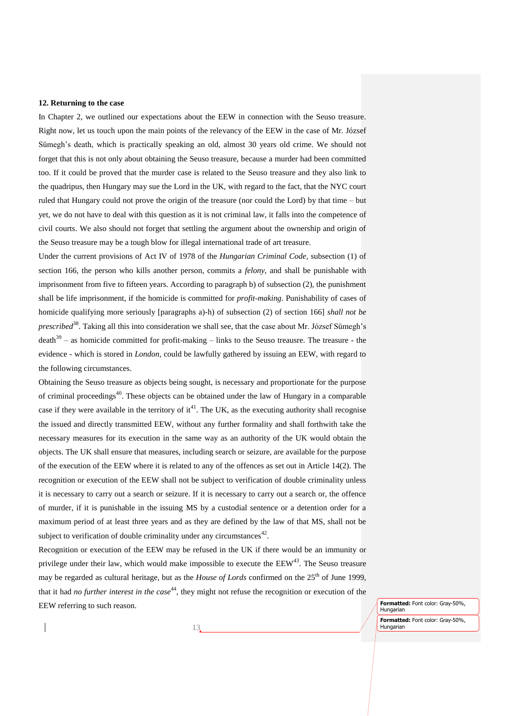#### **12. Returning to the case**

In Chapter 2, we outlined our expectations about the EEW in connection with the Seuso treasure. Right now, let us touch upon the main points of the relevancy of the EEW in the case of Mr. József Sümegh"s death, which is practically speaking an old, almost 30 years old crime. We should not forget that this is not only about obtaining the Seuso treasure, because a murder had been committed too. If it could be proved that the murder case is related to the Seuso treasure and they also link to the quadripus, then Hungary may sue the Lord in the UK, with regard to the fact, that the NYC court ruled that Hungary could not prove the origin of the treasure (nor could the Lord) by that time – but yet, we do not have to deal with this question as it is not criminal law, it falls into the competence of civil courts. We also should not forget that settling the argument about the ownership and origin of the Seuso treasure may be a tough blow for illegal international trade of art treasure.

Under the current provisions of Act IV of 1978 of the *Hungarian Criminal Code*, subsection (1) of section 166, the person who kills another person, commits a *felony*, and shall be punishable with imprisonment from five to fifteen years. According to paragraph b) of subsection (2), the punishment shall be life imprisonment, if the homicide is committed for *profit-making*. Punishability of cases of homicide qualifying more seriously [paragraphs a)-h) of subsection (2) of section 166] *shall not be prescribed*<sup>38</sup>. Taking all this into consideration we shall see, that the case about Mr. József Sümegh's  $death^{39}$  – as homicide committed for profit-making – links to the Seuso treausre. The treasure - the evidence - which is stored in *London*, could be lawfully gathered by issuing an EEW, with regard to the following circumstances.

Obtaining the Seuso treasure as objects being sought, is necessary and proportionate for the purpose of criminal proceedings<sup>40</sup>. These objects can be obtained under the law of Hungary in a comparable case if they were available in the territory of  $it^{41}$ . The UK, as the executing authority shall recognise the issued and directly transmitted EEW, without any further formality and shall forthwith take the necessary measures for its execution in the same way as an authority of the UK would obtain the objects. The UK shall ensure that measures, including search or seizure, are available for the purpose of the execution of the EEW where it is related to any of the offences as set out in Article 14(2). The recognition or execution of the EEW shall not be subject to verification of double criminality unless it is necessary to carry out a search or seizure. If it is necessary to carry out a search or, the offence of murder, if it is punishable in the issuing MS by a custodial sentence or a detention order for a maximum period of at least three years and as they are defined by the law of that MS, shall not be subject to verification of double criminality under any circumstances $42$ .

Recognition or execution of the EEW may be refused in the UK if there would be an immunity or privilege under their law, which would make impossible to execute the  $EEW<sup>43</sup>$ . The Seuso treasure may be regarded as cultural heritage, but as the *House of Lords* confirmed on the 25<sup>th</sup> of June 1999. that it had *no further interest in the case*<sup>44</sup>, they might not refuse the recognition or execution of the EEW referring to such reason.

13

**Formatted:** Font color: Gray-50%, Hungarian **Formatted:** Font color: Gray-50%, Hungarian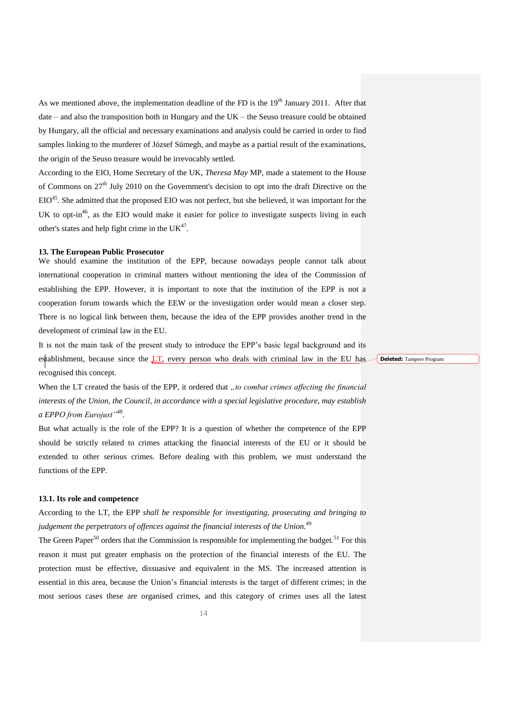As we mentioned above, the implementation deadline of the FD is the  $19<sup>th</sup>$  January 2011. After that date – and also the transposition both in Hungary and the UK – the Seuso treasure could be obtained by Hungary, all the official and necessary examinations and analysis could be carried in order to find samples linking to the murderer of József Sümegh, and maybe as a partial result of the examinations, the origin of the Seuso treasure would be [irrevocably](http://szotar.sztaki.hu/dict_search.php?M=1&O=HUN&E=1&C=1&A=1&S=H&T=1&D=0&G=0&P=0&F=0&MR=100&orig_lang=HUN%3AENG%3AEngHunDict&orig_mode=1&orig_word=v%C3%A9g%C3%A9rv%C3%A9nyesen&popup_partner=www.sztaki.hu&sid=c0e2b50b2d9fc69d4681639d091fa8ce&L=ENG%3AHUN%3AEngHunDict&W=irrevocably) settled.

According to the EIO, Home Secretary of the UK, *Theresa May* MP, made a statement to the House of Commons on  $27<sup>th</sup>$  July 2010 on the Government's decision to opt into the draft Directive on the EIO<sup>45</sup>. She admitted that the proposed EIO was not perfect, but she believed, it was important for the UK to opt-in<sup>46</sup>, as the EIO would make it easier for police to investigate suspects living in each other's states and help fight crime in the  $UK^{47}$ .

#### **13. The European Public Prosecutor**

We should examine the institution of the EPP, because nowadays people cannot talk about international cooperation in criminal matters without mentioning the idea of the Commission of establishing the EPP. However, it is important to note that the institution of the EPP is not a cooperation forum towards which the EEW or the investigation order would mean a closer step. There is no logical link between them, because the idea of the EPP provides another trend in the development of criminal law in the EU.

It is not the main task of the present study to introduce the EPP"s basic legal background and its establishment, because since the  $LT$ , every person who deals with criminal law in the EU has recognised this concept.

When the LT created the basis of the EPP, it ordered that *"to combat crimes affecting the financial interests of the Union, the Council, in accordance with a special legislative procedure, may establish a EPPO from Eurojust"<sup>48</sup>* .

But what actually is the role of the EPP? It is a question of whether the competence of the EPP should be strictly related to crimes attacking the financial interests of the EU or it should be extended to other serious crimes. Before dealing with this problem, we must understand the functions of the EPP.

#### **13.1. Its role and competence**

According to the LT, the EPP *shall be responsible for investigating, prosecuting and bringing to*  judgement the perpetrators of offences against the financial interests of the Union.<sup>49</sup>

The Green Paper<sup>50</sup> orders that the Commission is responsible for implementing the budget.<sup>51</sup> For this reason it must put greater emphasis on the protection of the financial interests of the EU. The protection must be effective, dissuasive and equivalent in the MS. The increased attention is essential in this area, because the Union"s financial interests is the target of different crimes; in the most serious cases these are organised crimes, and this category of crimes uses all the latest **Deleted:** Tampere Program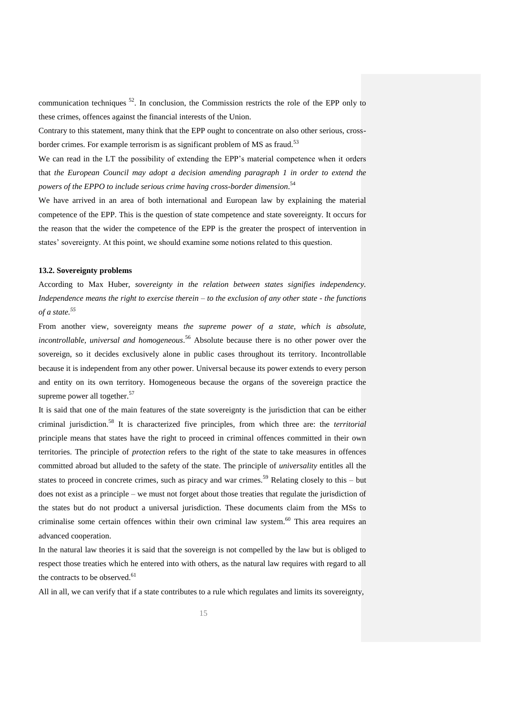communication techniques <sup>52</sup>. In conclusion, the Commission restricts the role of the EPP only to these crimes, offences against the financial interests of the Union.

Contrary to this statement, many think that the EPP ought to concentrate on also other serious, crossborder crimes. For example terrorism is as significant problem of MS as fraud.<sup>53</sup>

We can read in the LT the possibility of extending the EPP's material competence when it orders that *the European Council may adopt a decision amending paragraph 1 in order to extend the powers of the EPPO to include serious crime having cross-border dimension*. 54

We have arrived in an area of both international and European law by explaining the material competence of the EPP. This is the question of state competence and state sovereignty. It occurs for the reason that the wider the competence of the EPP is the greater the prospect of intervention in states' sovereignty. At this point, we should examine some notions related to this question.

#### **13.2. Sovereignty problems**

According to Max Huber, *sovereignty in the relation between states signifies independency. Independence means the right to exercise therein – to the exclusion of any other state - the functions of a state.<sup>55</sup>*

From another view, sovereignty means *the supreme power of a state, which is absolute, incontrollable, universal and homogeneous*. <sup>56</sup> Absolute because there is no other power over the sovereign, so it decides exclusively alone in public cases throughout its territory. Incontrollable because it is independent from any other power. Universal because its power extends to every person and entity on its own territory. Homogeneous because the organs of the sovereign practice the supreme power all together.<sup>57</sup>

It is said that one of the main features of the state sovereignty is the jurisdiction that can be either criminal jurisdiction.<sup>58</sup> It is characterized five principles, from which three are: the *territorial* principle means that states have the right to proceed in criminal offences committed in their own territories. The principle of *protection* refers to the right of the state to take measures in offences committed abroad but alluded to the safety of the state. The principle of *universality* entitles all the states to proceed in concrete crimes, such as piracy and war crimes.<sup>59</sup> Relating closely to this – but does not exist as a principle – we must not forget about those treaties that regulate the jurisdiction of the states but do not product a universal jurisdiction. These documents claim from the MSs to criminalise some certain offences within their own criminal law system.<sup>60</sup> This area requires an advanced cooperation.

In the natural law theories it is said that the sovereign is not compelled by the law but is obliged to respect those treaties which he entered into with others, as the natural law requires with regard to all the contracts to be observed.<sup>61</sup>

All in all, we can verify that if a state contributes to a rule which regulates and limits its sovereignty,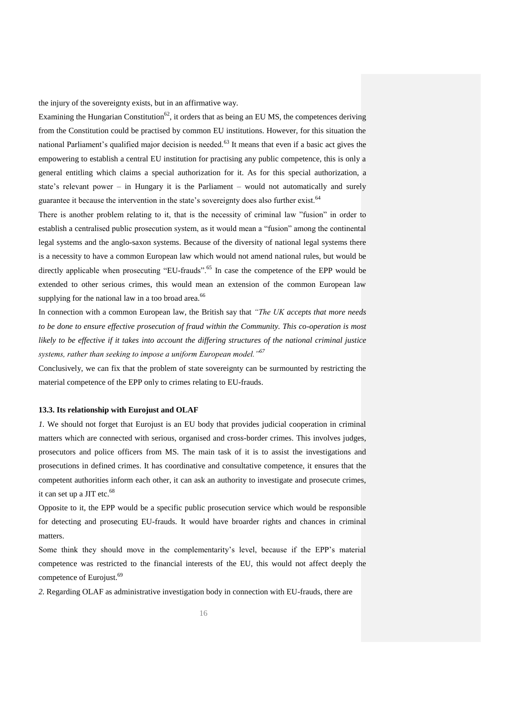the injury of the sovereignty exists, but in an affirmative way.

Examining the Hungarian Constitution<sup>62</sup>, it orders that as being an EU MS, the competences deriving from the Constitution could be practised by common EU institutions. However, for this situation the national Parliament's qualified major decision is needed.<sup>63</sup> It means that even if a basic act gives the empowering to establish a central EU institution for practising any public competence, this is only a general entitling which claims a special authorization for it. As for this special authorization, a state's relevant power – in Hungary it is the Parliament – would not automatically and surely guarantee it because the intervention in the state's sovereignty does also further exist.<sup>64</sup>

There is another problem relating to it, that is the necessity of criminal law "fusion" in order to establish a centralised public prosecution system, as it would mean a "fusion" among the continental legal systems and the anglo-saxon systems. Because of the diversity of national legal systems there is a necessity to have a common European law which would not amend national rules, but would be directly applicable when prosecuting "EU-frauds".<sup>65</sup> In case the competence of the EPP would be extended to other serious crimes, this would mean an extension of the common European law supplying for the national law in a too broad area.<sup>66</sup>

In connection with a common European law, the British say that *"The UK accepts that more needs to be done to ensure effective prosecution of fraud within the Community. This co-operation is most likely to be effective if it takes into account the differing structures of the national criminal justice systems, rather than seeking to impose a uniform European model."<sup>67</sup>*

Conclusively, we can fix that the problem of state sovereignty can be surmounted by restricting the material competence of the EPP only to crimes relating to EU-frauds.

#### **13.3. Its relationship with Eurojust and OLAF**

*1.* We should not forget that Eurojust is an EU body that provides judicial cooperation in criminal matters which are connected with serious, organised and cross-border crimes. This involves judges, prosecutors and police officers from MS. The main task of it is to assist the investigations and prosecutions in defined crimes. It has coordinative and consultative competence, it ensures that the competent authorities inform each other, it can ask an authority to investigate and prosecute crimes, it can set up a JIT etc. $68$ 

Opposite to it, the EPP would be a specific public prosecution service which would be responsible for detecting and prosecuting EU-frauds. It would have broarder rights and chances in criminal matters.

Some think they should move in the complementarity"s level, because if the EPP"s material competence was restricted to the financial interests of the EU, this would not affect deeply the competence of Eurojust.<sup>69</sup>

*2.* Regarding OLAF as administrative investigation body in connection with EU-frauds, there are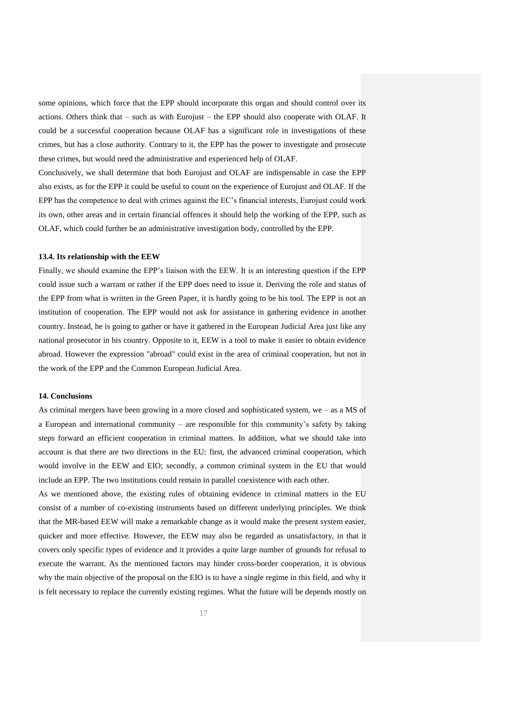some opinions, which force that the EPP should incorporate this organ and should control over its actions. Others think that – such as with Eurojust – the EPP should also cooperate with OLAF. It could be a successful cooperation because OLAF has a significant role in investigations of these crimes, but has a close authority. Contrary to it, the EPP has the power to investigate and prosecute these crimes, but would need the administrative and experienced help of OLAF.

Conclusively, we shall determine that both Eurojust and OLAF are indispensable in case the EPP also exists, as for the EPP it could be useful to count on the experience of Eurojust and OLAF. If the EPP has the competence to deal with crimes against the EC's financial interests, Eurojust could work its own, other areas and in certain financial offences it should help the working of the EPP, such as OLAF, which could further be an administrative investigation body, controlled by the EPP.

#### **13.4. Its relationship with the EEW**

Finally, we should examine the EPP"s liaison with the EEW. It is an interesting question if the EPP could issue such a warrant or rather if the EPP does need to issue it. Deriving the role and status of the EPP from what is written in the Green Paper, it is hardly going to be his tool. The EPP is not an institution of cooperation. The EPP would not ask for assistance in gathering evidence in another country. Instead, he is going to gather or have it gathered in the European Judicial Area just like any national prosecutor in his country. Opposite to it, EEW is a tool to make it easier to obtain evidence abroad. However the expression "abroad" could exist in the area of criminal cooperation, but not in the work of the EPP and the Common European Judicial Area.

#### **14. Conclusions**

As criminal mergers have been growing in a more closed and sophisticated system, we – as a MS of a European and international community – are responsible for this community's safety by taking steps forward an efficient cooperation in criminal matters. In addition, what we should take into account is that there are two directions in the EU: first, the advanced criminal cooperation, which would involve in the EEW and EIO; secondly, a common criminal system in the EU that would include an EPP. The two institutions could remain in parallel coexistence with each other.

As we mentioned above, the existing rules of obtaining evidence in criminal matters in the EU consist of a number of co-existing instruments based on different underlying principles. We think that the MR-based EEW will make a remarkable change as it would make the present system easier, quicker and more effective. However, the EEW may also be regarded as unsatisfactory, in that it covers only specific types of evidence and it provides a quite large number of grounds for refusal to execute the warrant. As the mentioned factors may hinder cross-border cooperation, it is obvious why the main objective of the proposal on the EIO is to have a single regime in this field, and why it is felt necessary to replace the currently existing regimes. What the future will be depends mostly on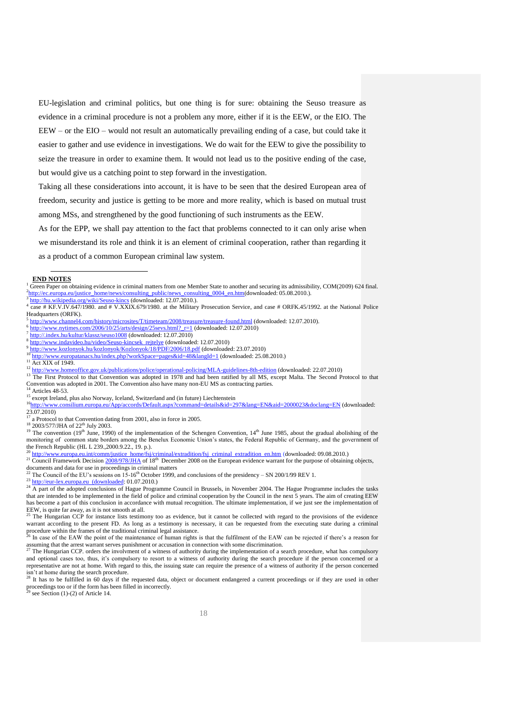EU-legislation and criminal politics, but one thing is for sure: obtaining the Seuso treasure as evidence in a criminal procedure is not a problem any more, either if it is the EEW, or the EIO. The EEW – or the EIO – would not result an automatically prevailing ending of a case, but could take it easier to gather and use evidence in investigations. We do wait for the EEW to give the possibility to seize the treasure in order to examine them. It would not lead us to the positive ending of the case, but would give us a catching point to step forward in the investigation.

Taking all these considerations into account, it is have to be seen that the desired European area of freedom, security and justice is getting to be more and more reality, which is based on mutual trust among MSs, and strengthened by the good functioning of such instruments as the EEW.

As for the EPP, we shall pay attention to the fact that problems connected to it can only arise when we misunderstand its role and think it is an element of criminal cooperation, rather than regarding it as a product of a common European criminal law system.

#### -**END NOTES**

<http://hu.wikipedia.org/wiki/Seuso-kincs> (downloaded: 12.07.2010.).

- 5 <http://www.channel4.com/history/microsites/T/timeteam/2008/treasure/treasure-found.html> (downloaded: 12.07.2010). 6
- http://www.nytimes.com/2006/10/25/arts/design/25sevs.html? r=1 (downloaded: 12.07.2010)
- <sup>7</sup> <http://.index.hu/kultur/klassz/seuso1008> (downloaded: 12.07.2010) 8
- [http://www.indavideo.hu/video/Seuso-kincsek\\_rejtelye](http://www.indavideo.hu/video/Seuso-kincsek_rejtelye) (downloaded: 12.07.2010) 9
- $\frac{9 \text{ http://www.kozlonyok.hu/kozlonyok/Kozlonyok/18/PDF/2006/18.pdf}}{10 \text{ y to 1}}$  $\frac{9 \text{ http://www.kozlonyok.hu/kozlonyok/Kozlonyok/18/PDF/2006/18.pdf}}{10 \text{ y to 1}}$  $\frac{9 \text{ http://www.kozlonyok.hu/kozlonyok/Kozlonyok/18/PDF/2006/18.pdf}}{10 \text{ y to 1}}$  (downloaded: 23.07.2010)
- $\frac{10 \text{ http://www.europatanacs.hu/index.php?workSpace=pages&id=48&langId=1}$  $\frac{10 \text{ http://www.europatanacs.hu/index.php?workSpace=pages&id=48&langId=1}$  $\frac{10 \text{ http://www.europatanacs.hu/index.php?workSpace=pages&id=48&langId=1}$  (downloaded: 25.08.2010.)
- <sup>11</sup> Act XIX of 1949.
- $^{12}$  [http://www.homeoffice.gov.uk/publications/police/operational-policing/MLA-guidelines-8th-edition](http://fovfou02xch/exchweb/bin/redir.asp?URL=http://www.homeoffice.gov.uk/publications/police/operational-policing/MLA-guidelines-8th-edition) (downloaded: 22.07.2010)<br> $^{12}$  The First Data and the Generating agree adapted in 1978 and had have griffed him all
- <sup>13</sup> The First Protocol to that Convention was adopted in 1978 and had been ratified by all MS, except Malta. The Second Protocol to that Convention was adopted in 2001. The Convention also have many non-EU MS as contracting parties. Articles 48-53.
- <sup>15</sup> except Ireland, plus also Norway, Iceland, Switzerland and (in future) Liechtenstein
- <sup>16</sup>http://www.consilium.europa.eu/App/accords/Default.aspx?command=details&id=297<u>&lang=EN&aid=2000023&doclang=EN</u> (downloaded:  $23.07.2010$
- $<sup>7</sup>$  a Protocol to that Convention dating from 2001, also in force in 2005.</sup>
- <sup>18</sup> 2003/577/JHA of 22<sup>th</sup> July 2003.

<sup>19</sup> The convention (19<sup>th</sup> June, 1990) of the implementation of the Schengen Convention, 14<sup>th</sup> June 1985, about the gradual abolishing of the monitoring of common state borders among the Benelux Economic Union"s states, the Federal Republic of Germany, and the government of the French Republic (HL L 239.,2000.9.22., 19. p.).

<sup>20</sup> [http://www.europa.eu.int/comm/justice\\_home/fsj/criminal/extradition/fsj\\_criminal\\_extradition\\_en.htm](http://www.europa.eu.int/comm/justice_home/fsj/criminal/extradition/fsj_criminal_extradition_en.htm) (downloaded: 09.08.2010.)

<sup>21</sup> Council Framework Decision  $2008/978$ /JHA of 18<sup>th</sup> December 2008 on the European evidence warrant for the purpose of obtaining objects, documents and data for use in proceedings in criminal matters

<sup>22</sup> The Council of the EU's sessions on  $15$ -16<sup>th</sup> October 1999, and conclusions of the presidency – SN 200/1/99 REV 1.

 $^{23}$  http://eur-lex.europa.eu (downloaded: 01.07.2010.)

 $24$  A part of the adopted conclusions of Hague Programme Council in Brussels, in November 2004. The Hague Programme includes the tasks that are intended to be implemented in the field of police and criminal cooperation by the Council in the next 5 years. The aim of creating EEW has become a part of this conclusion in accordance with mutual recognition. The ultimate implementation, if we just see the implementation of EEW, is quite far away, as it is not smooth at all.<br> $^{25}$  The Hypersic COD 3.

<sup>25</sup> The Hungarian CCP for instance lists testimony too as evidence, but it cannot be collected with regard to the provisions of the evidence warrant according to the present FD. As long as a testimony is necessary, it can be requested from the executing state during a criminal procedure within the frames of the traditional criminal legal assistance.

In case of the EAW the point of the maintenance of human rights is that the fulfilment of the EAW can be rejected if there's a reason for assuming that the arrest warrant serves punishment or accusation in connection with some discrimination.

 $^{27}$  The Hungarian CCP. orders the involvment of a witness of authority during the implementation of a search procedure, what has compulsory and optional cases too, thus, it's compulsory to resort to a witness of authority during the search procedure if the person concerned or a representative are not at home. With regard to this, the issuing state can require the presence of a witness of authority if the person concerned isn't at home during the search procedure.<br><sup>28</sup> It has to be fulfilled in 60 days if the requested data, object or document endangered a current proceedings or if they are used in other

proceedings too or if the form has been filled in incorrectly.<br> $2^9$  cas Section (1) (2) = f the form has been filled in incorrectly.

 $1$  Green Paper on obtaining evidence in criminal matters from one Member State to another and securing its admissibility, COM(2009) 624 final.  $^{2}$ [http://ec.europa.eu/justice\\_home/news/consulting\\_public/news\\_consulting\\_0004\\_en.htm\(](http://ec.europa.eu/justice_home/news/consulting_public/news_consulting_0004_en.htm)downloaded: 05.08.2010.).

<sup>4</sup> case # KF.V.IV.647/1980. and # V.XXIX.679/1980. at the Military Prosecution Service, and case # ORFK.45/1992. at the National Police Headquarters (ORFK).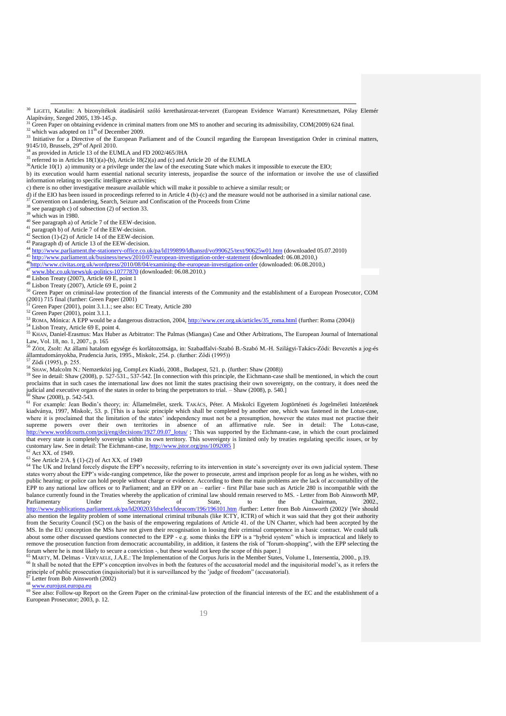- <sup>30</sup> LIGETI, Katalin: A bizonyítékok átadásáról szóló kerethatározat-tervezet (European Evidence Warrant) Keresztmetszet, Pólay Elemér Alapítvány, Szeged 2005, 139-145.p.
- $31$  Green Paper on obtaining evidence in criminal matters from one MS to another and securing its admissibility, COM(2009) 624 final.
- which was adopted on  $11^{th}$  of December 2009.
- <sup>33</sup> Initiative for a Directive of the European Parliament and of the Council regarding the European Investigation Order in criminal matters, 9145/10, Brussels, 29<sup>th</sup> of April 2010.
- as provided in Article 13 of the EUMLA and FD 2002/465/JHA
- <sup>35</sup> referred to in Articles  $18(1)(a)$ -(b), Article 18(2)(a) and (c) and Article 20 of the EUMLA
- $36$ Article 10(1) a) immunity or a privilege under the law of the executing State which makes it impossible to execute the EIO;
- b) its execution would harm essential national security interests, jeopardise the source of the information or involve the use of classified

information relating to specific intelligence activities;

- c) there is no other investigative measure available which will make it possible to achieve a similar result; or
- d) if the EIO has been issued in proceedings referred to in Article 4 (b)-(c) and the measure would not be authorised in a similar national case.
- $\frac{37}{29}$  Convention on Laundering, Search, Seizure and Confiscation of the Proceeds from Crime
- $38$  see paragraph c) of subsection (2) of section 33.

1

which was in 1980.

40 See paragraph a) of Article 7 of the EEW-decision.

- $\frac{1}{2}$  paragraph b) of Article 7 of the EEW-decision.
- $42$  Section (1)-(2) of Article 14 of the EEW-decision.  $43$  Paragraph d) of Article 13 of the EEW-decision.
- $44 \frac{\text{http://www.parliament.the-stationery-office.co.uk/pa/d199899/dhansrd/vo990625/text/90625w01.htm}{\text{http://www.parliament.the-stationery-office.co.uk/pa/d1199899/dhansrd/vo990625/text/90625w01.htm}}$  (downloaded 05.07.2010) 45 <http://www.parliament.uk/business/news/2010/07/european-investigation-order-statement> (downloaded: 06.08.2010,)
- 46http://www.paritain.chc.uk/business/2010/07/curopean-investigation-order-statement (downloaded: 06.08.2010,)<br>
4<sup>46</sup><http://www.civitas.org.uk/wordpress/2010/08/04/examining-the-european-investigation-order> (downloaded: 06
- [www.bbc.co.uk/news/uk-politics-10777870](http://www.bbc.co.uk/news/uk-politics-10777870) (downloaded: 06.08.2010.)
- $48 \overline{\text{Lisbon Treaty (2007), Article 69 E, point 1}}$

### $49$  Lisbon Treaty (2007), Article 69 E, point 2

- 50 Green Paper on criminal-law protection of the financial interests of the Community and the establishment of a European Prosecutor, COM
- (2001) 715 final (further: Green Paper (2001) <sup>51</sup> Green Paper (2001), point 3.1.1.; see also: EC Treaty, Article 280
- <sup>52</sup> Green Paper (2001), point 3.1.1.
- 53 ROMA, Mónica: A EPP would be a dangerous distraction, 2004[, http://www.cer.org.uk/articles/35\\_roma.html](http://www.cer.org.uk/articles/35_roma.html) (further: Roma (2004))
- <sup>54</sup> Lisbon Treaty, Article 69 E, point 4.
- <sup>55</sup> KHAN, Daniel-Erasmus: Max Huber as Arbitrator: The Palmas (Miangas) Case and Other Arbitrations, The European Journal of International Law, Vol. 18, no. 1, 2007., p. 165
- <sup>56</sup> ZŐDI, Zsolt: Az állami hatalom egysége és korlátozottsága, in: Szabadfalvi-Szabó B.-Szabó M.-H. Szilágyi-Takács-Ződi: Bevezetés a jog-és államtudományokba, Prudencia Juris, 1995., Miskolc, 254. p. (further: Ződi (1995))
- Ződi (1995), p. 255.
- <sup>58</sup> SHAW, Malcolm N.: Nemzetközi jog, CompLex Kiadó, 2008., Budapest, 521. p. (further: Shaw (2008))
- $^{59}$  See in detail: Shaw (2008), p. 527-531., 537-542. [In connection with this principle, the Eichmann-case shall be mentioned, in which the court proclaims that in such cases the international law does not limit the states practising their own sovereignty, on the contrary, it does need the judicial and executive organs of the states in order to bring the perpetrators to trial. – Shaw (2008), p. 540.] Shaw (2008), p. 542-543.
- <sup>61</sup> For example: Jean Bodin"s theory; in: Államelmélet, szerk. TAKÁCS, Péter. A Miskolci Egyetem Jogtörténeti és Jogelméleti Intézetének kiadványa, 1997, Miskolc, 53. p. [This is a basic principle which shall be completed by another one, which was fastened in the Lotus-case, where it is proclaimed that the limitation of the states' independency must not be a presumption, however the states must not practise their supreme powers over their own territories in absence of an affirmative rule. See in detail: The Lotus-case, [http://www.worldcourts.com/pcij/eng/decisions/1927.09.07\\_lotus/](http://www.worldcourts.com/pcij/eng/decisions/1927.09.07_lotus/); This was supported by the Eichmann-case, in which the court proclaimed that every state is completely sovereign within its own territory. This sovereignty is limited only by treaties regulating specific issues, or by customary law. See in detail: The Eichmann-case,<http://www.jstor.org/pss/1092085> ] Act XX. of 1949.

 $63$  See Article 2/A.  $\S$  (1)-(2) of Act XX. of 1949

<sup>64</sup> The UK and Ireland forcely dispute the EPP's necessity, referring to its intervention in state's sovereignty over its own judicial system. These states worry about the EPP"s wide-ranging competence, like the power to prosecute, arrest and imprison people for as long as he wishes, with no public hearing; or police can hold people without charge or evidence. According to them the main problems are the lack of accountability of the EPP to any national law offices or to Parliament; and an EPP on an – earlier - first Pillar base such as Article 280 is incompatible with the balance currently found in the Treaties whereby the application of criminal law should remain reserved to MS. - Letter from Bob Ainsworth MP, Parliamentary Under Secretary of State, to the Chairman, 2002., Parliamentary Under Secretary of State, to the Chairman, 2002., <http://www.publications.parliament.uk/pa/ld200203/ldselect/ldeucom/196/196101.htm> /further: Letter from Bob Ainsworth (2002)/ [We should also mention the legality problem of some international criminal tribunals (like ICTY, ICTR) of which it was said that they got their authority from the Security Council (SC) on the basis of the empowering regulations of Article 41. of the UN Charter, which had been accepted by the MS. In the EU conception the MSs have not given their recognisation in loosing their criminal competence in a basic contract. We could talk about some other discussed questions connected to the EPP - e.g. some thinks the EPP is a "hybrid system" which is impractical and likely to remove the prosecution function from democratic accountability, in addition, it fastens the risk of "forum-shopping", with the EPP selecting the forum where he is most likely to secure a conviction -, but these would not keep the scope of this paper.]

 $^5$  MARTY, M. Delmas - VERVAELE, J.A.E.: The Implementation of the Corpus Juris in the Member States, Volume I., Intersentia, 2000., p.19. <sup>66</sup> It shall be noted that the EPP"s conception involves in both the features of the accusatorial model and the inquisitorial model"s, as it refers the principle of public prosecution (inquisitorial) but it is surveillanced by the "judge of freedom" (accusatorial).

 $^{67}_{68}$  Letter from Bob Ainsworth (2002)

[www.eurojust.europa.eu](http://www.eurojust.europa.eu/)

<sup>69</sup> See also: Follow-up Report on the Green Paper on the criminal-law protection of the financial interests of the EC and the establishment of a European Prosecutor; 2003, p. 12.